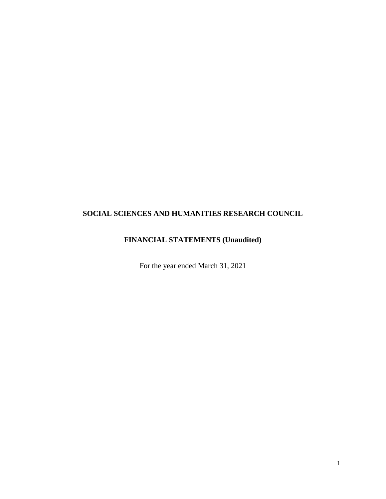# **FINANCIAL STATEMENTS (Unaudited)**

For the year ended March 31, 2021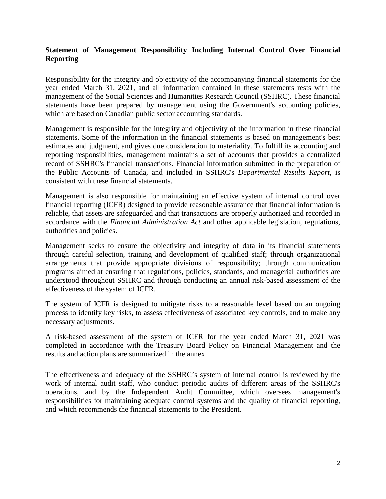# **Statement of Management Responsibility Including Internal Control Over Financial Reporting**

Responsibility for the integrity and objectivity of the accompanying financial statements for the year ended March 31, 2021, and all information contained in these statements rests with the management of the Social Sciences and Humanities Research Council (SSHRC). These financial statements have been prepared by management using the Government's accounting policies, which are based on Canadian public sector accounting standards.

Management is responsible for the integrity and objectivity of the information in these financial statements. Some of the information in the financial statements is based on management's best estimates and judgment, and gives due consideration to materiality. To fulfill its accounting and reporting responsibilities, management maintains a set of accounts that provides a centralized record of SSHRC's financial transactions. Financial information submitted in the preparation of the Public Accounts of Canada, and included in SSHRC's *Departmental Results Report,* is consistent with these financial statements.

Management is also responsible for maintaining an effective system of internal control over financial reporting (ICFR) designed to provide reasonable assurance that financial information is reliable, that assets are safeguarded and that transactions are properly authorized and recorded in accordance with the *Financial Administration Act* and other applicable legislation, regulations, authorities and policies.

Management seeks to ensure the objectivity and integrity of data in its financial statements through careful selection, training and development of qualified staff; through organizational arrangements that provide appropriate divisions of responsibility; through communication programs aimed at ensuring that regulations, policies, standards, and managerial authorities are understood throughout SSHRC and through conducting an annual risk-based assessment of the effectiveness of the system of ICFR.

The system of ICFR is designed to mitigate risks to a reasonable level based on an ongoing process to identify key risks, to assess effectiveness of associated key controls, and to make any necessary adjustments.

A risk-based assessment of the system of ICFR for the year ended March 31, 2021 was completed in accordance with the Treasury Board Policy on Financial Management and the results and action plans are summarized in the annex.

The effectiveness and adequacy of the SSHRC's system of internal control is reviewed by the work of internal audit staff, who conduct periodic audits of different areas of the SSHRC's operations, and by the Independent Audit Committee, which oversees management's responsibilities for maintaining adequate control systems and the quality of financial reporting, and which recommends the financial statements to the President.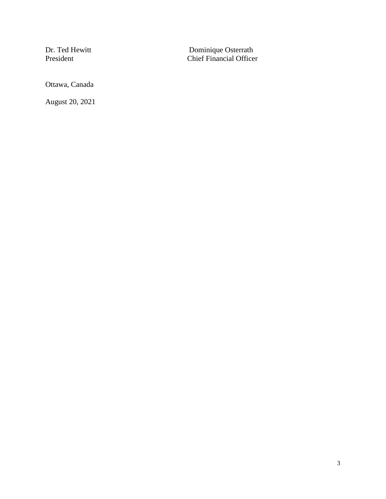Dr. Ted Hewitt Dominique Osterrath President Chief Financial Officer

Ottawa, Canada

August 20, 2021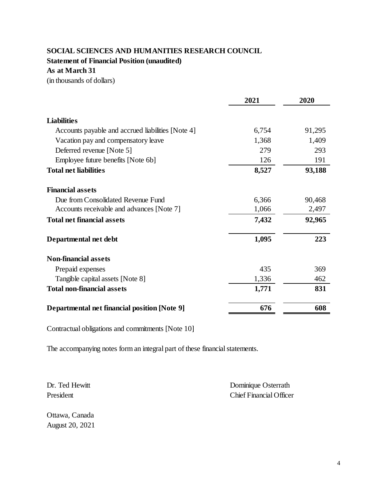**Statement of Financial Position (unaudited)**

**As at March 31**

(in thousands of dollars)

|                                                     | 2021  | 2020   |
|-----------------------------------------------------|-------|--------|
| <b>Liabilities</b>                                  |       |        |
| Accounts payable and accrued liabilities [Note 4]   | 6,754 | 91,295 |
| Vacation pay and compensatory leave                 | 1,368 | 1,409  |
| Deferred revenue [Note 5]                           | 279   | 293    |
| Employee future benefits [Note 6b]                  | 126   | 191    |
| <b>Total net liabilities</b>                        | 8,527 | 93,188 |
| <b>Financial assets</b>                             |       |        |
| Due from Consolidated Revenue Fund                  | 6,366 | 90,468 |
| Accounts receivable and advances [Note 7]           | 1,066 | 2,497  |
| <b>Total net financial assets</b>                   | 7,432 | 92,965 |
| Departmental net debt                               | 1,095 | 223    |
| <b>Non-financial assets</b>                         |       |        |
| Prepaid expenses                                    | 435   | 369    |
| Tangible capital assets [Note 8]                    | 1,336 | 462    |
| <b>Total non-financial assets</b>                   | 1,771 | 831    |
| <b>Departmental net financial position [Note 9]</b> | 676   | 608    |

Contractual obligations and commitments [Note 10]

The accompanying notes form an integral part of these financial statements.

Dr. Ted Hewitt Dominique Osterrath President Chief Financial Officer

Ottawa, Canada August 20, 2021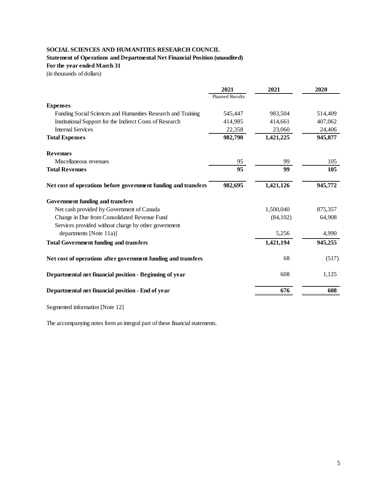# **Statement of Operations and Departmental Net Financial Position (unaudited)**

**For the year ended March 31**

(in thousands of dollars)

| <b>Planned Results</b><br>545,447<br>414,985<br>22,358<br>982,790<br>95 | 983,504<br>414,661<br>23,060<br>1,421,225<br>99 | 514,409<br>407,062<br>24,406<br>945,877 |  |
|-------------------------------------------------------------------------|-------------------------------------------------|-----------------------------------------|--|
|                                                                         |                                                 |                                         |  |
|                                                                         |                                                 |                                         |  |
|                                                                         |                                                 |                                         |  |
|                                                                         |                                                 |                                         |  |
|                                                                         |                                                 |                                         |  |
|                                                                         |                                                 |                                         |  |
|                                                                         |                                                 |                                         |  |
|                                                                         |                                                 | 105                                     |  |
|                                                                         | 99                                              | 105                                     |  |
| 982,695                                                                 | 1,421,126                                       | 945,772                                 |  |
|                                                                         |                                                 |                                         |  |
|                                                                         | 1,500,040                                       | 875,357                                 |  |
|                                                                         | (84, 102)                                       | 64,908                                  |  |
|                                                                         |                                                 |                                         |  |
|                                                                         | 5,256                                           | 4,990                                   |  |
|                                                                         | 1,421,194                                       | 945,255                                 |  |
|                                                                         | 68                                              | (517)                                   |  |
|                                                                         | 608                                             | 1,125                                   |  |
|                                                                         | 676                                             | 608                                     |  |
|                                                                         | 95                                              |                                         |  |

Segmented information [Note 12]

The accompanying notes form an integral part of these financial statements.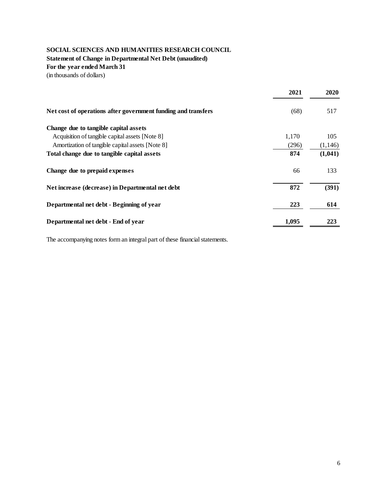# **SOCIAL SCIENCES AND HUMANITIES RESEARCH COUNCIL Statement of Change in Departmental Net Debt (unaudited) For the year ended March 31**

(in thousands of dollars)

|                                                               | 2021  | 2020     |
|---------------------------------------------------------------|-------|----------|
| Net cost of operations after government funding and transfers | (68)  | 517      |
| Change due to tangible capital assets                         |       |          |
| Acquisition of tangible capital assets [Note 8]               | 1,170 | 105      |
| Amortization of tangible capital assets [Note 8]              | (296) | (1, 146) |
| Total change due to tangible capital assets                   | 874   | (1,041)  |
| Change due to prepaid expenses                                | 66    | 133      |
| Net increase (decrease) in Departmental net debt              | 872   | (391)    |
| Departmental net debt - Beginning of year                     | 223   | 614      |
| Departmental net debt - End of year                           | 1,095 | 223      |

The accompanying notes form an integral part of these financial statements.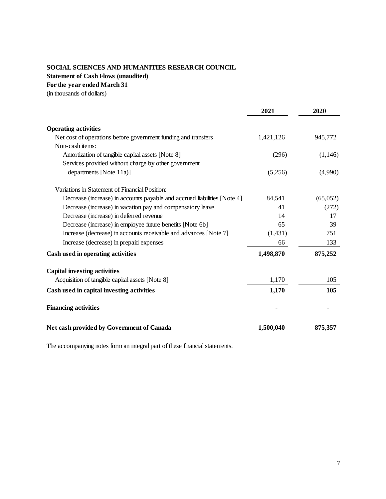**Statement of Cash Flows (unaudited)**

**For the year ended March 31**

(in thousands of dollars)

|                                                                          | 2021      | 2020     |
|--------------------------------------------------------------------------|-----------|----------|
| <b>Operating activities</b>                                              |           |          |
| Net cost of operations before government funding and transfers           | 1,421,126 | 945,772  |
| Non-cash items:                                                          |           |          |
| Amortization of tangible capital assets [Note 8]                         | (296)     | (1,146)  |
| Services provided without charge by other government                     |           |          |
| departments [Note 11a)]                                                  | (5,256)   | (4,990)  |
| Variations in Statement of Financial Position:                           |           |          |
| Decrease (increase) in accounts payable and accrued liabilities [Note 4] | 84,541    | (65,052) |
| Decrease (increase) in vacation pay and compensatory leave               | 41        | (272)    |
| Decrease (increase) in deferred revenue                                  | 14        | 17       |
| Decrease (increase) in employee future benefits [Note 6b]                | 65        | 39       |
| Increase (decrease) in accounts receivable and advances [Note 7]         | (1, 431)  | 751      |
| Increase (decrease) in prepaid expenses                                  | 66        | 133      |
| Cash used in operating activities                                        | 1,498,870 | 875,252  |
| <b>Capital investing activities</b>                                      |           |          |
| Acquisition of tangible capital assets [Note 8]                          | 1,170     | 105      |
| Cash used in capital investing activities                                | 1,170     | 105      |
| <b>Financing activities</b>                                              |           |          |
| Net cash provided by Government of Canada                                | 1,500,040 | 875,357  |

The accompanying notes form an integral part of these financial statements.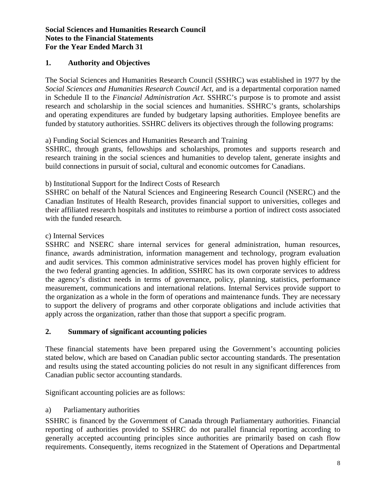# **1. Authority and Objectives**

The Social Sciences and Humanities Research Council (SSHRC) was established in 1977 by the *Social Sciences and Humanities Research Council Act*, and is a departmental corporation named in Schedule II to the *Financial Administration Act*. SSHRC's purpose is to promote and assist research and scholarship in the social sciences and humanities. SSHRC's grants, scholarships and operating expenditures are funded by budgetary lapsing authorities. Employee benefits are funded by statutory authorities. SSHRC delivers its objectives through the following programs:

a) Funding Social Sciences and Humanities Research and Training

SSHRC, through grants, fellowships and scholarships, promotes and supports research and research training in the social sciences and humanities to develop talent, generate insights and build connections in pursuit of social, cultural and economic outcomes for Canadians.

b) Institutional Support for the Indirect Costs of Research

SSHRC on behalf of the Natural Sciences and Engineering Research Council (NSERC) and the Canadian Institutes of Health Research, provides financial support to universities, colleges and their affiliated research hospitals and institutes to reimburse a portion of indirect costs associated with the funded research.

## c) Internal Services

SSHRC and NSERC share internal services for general administration, human resources, finance, awards administration, information management and technology, program evaluation and audit services. This common administrative services model has proven highly efficient for the two federal granting agencies. In addition, SSHRC has its own corporate services to address the agency's distinct needs in terms of governance, policy, planning, statistics, performance measurement, communications and international relations. Internal Services provide support to the organization as a whole in the form of operations and maintenance funds. They are necessary to support the delivery of programs and other corporate obligations and include activities that apply across the organization, rather than those that support a specific program.

# **2. Summary of significant accounting policies**

These financial statements have been prepared using the Government's accounting policies stated below, which are based on Canadian public sector accounting standards. The presentation and results using the stated accounting policies do not result in any significant differences from Canadian public sector accounting standards.

Significant accounting policies are as follows:

# a) Parliamentary authorities

SSHRC is financed by the Government of Canada through Parliamentary authorities. Financial reporting of authorities provided to SSHRC do not parallel financial reporting according to generally accepted accounting principles since authorities are primarily based on cash flow requirements. Consequently, items recognized in the Statement of Operations and Departmental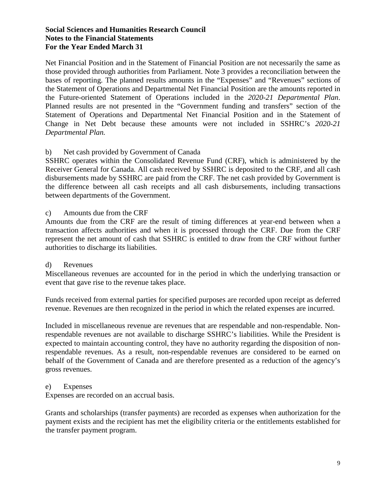Net Financial Position and in the Statement of Financial Position are not necessarily the same as those provided through authorities from Parliament. Note 3 provides a reconciliation between the bases of reporting. The planned results amounts in the "Expenses" and "Revenues" sections of the Statement of Operations and Departmental Net Financial Position are the amounts reported in the Future-oriented Statement of Operations included in the *2020-21 Departmental Plan*. Planned results are not presented in the "Government funding and transfers" section of the Statement of Operations and Departmental Net Financial Position and in the Statement of Change in Net Debt because these amounts were not included in SSHRC's *2020-21 Departmental Plan.* 

# b) Net cash provided by Government of Canada

SSHRC operates within the Consolidated Revenue Fund (CRF), which is administered by the Receiver General for Canada. All cash received by SSHRC is deposited to the CRF, and all cash disbursements made by SSHRC are paid from the CRF. The net cash provided by Government is the difference between all cash receipts and all cash disbursements, including transactions between departments of the Government.

c) Amounts due from the CRF

Amounts due from the CRF are the result of timing differences at year-end between when a transaction affects authorities and when it is processed through the CRF. Due from the CRF represent the net amount of cash that SSHRC is entitled to draw from the CRF without further authorities to discharge its liabilities.

#### d) Revenues

Miscellaneous revenues are accounted for in the period in which the underlying transaction or event that gave rise to the revenue takes place.

Funds received from external parties for specified purposes are recorded upon receipt as deferred revenue. Revenues are then recognized in the period in which the related expenses are incurred.

Included in miscellaneous revenue are revenues that are respendable and non-respendable. Nonrespendable revenues are not available to discharge SSHRC's liabilities. While the President is expected to maintain accounting control, they have no authority regarding the disposition of nonrespendable revenues. As a result, non-respendable revenues are considered to be earned on behalf of the Government of Canada and are therefore presented as a reduction of the agency's gross revenues.

#### e) Expenses

Expenses are recorded on an accrual basis.

Grants and scholarships (transfer payments) are recorded as expenses when authorization for the payment exists and the recipient has met the eligibility criteria or the entitlements established for the transfer payment program.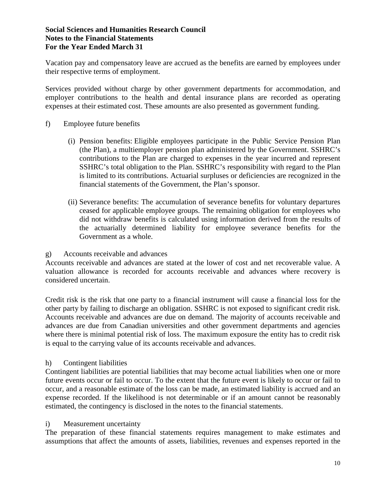Vacation pay and compensatory leave are accrued as the benefits are earned by employees under their respective terms of employment.

Services provided without charge by other government departments for accommodation, and employer contributions to the health and dental insurance plans are recorded as operating expenses at their estimated cost. These amounts are also presented as government funding.

#### f) Employee future benefits

- (i) Pension benefits: Eligible employees participate in the Public Service Pension Plan (the Plan), a multiemployer pension plan administered by the Government. SSHRC's contributions to the Plan are charged to expenses in the year incurred and represent SSHRC's total obligation to the Plan. SSHRC's responsibility with regard to the Plan is limited to its contributions. Actuarial surpluses or deficiencies are recognized in the financial statements of the Government, the Plan's sponsor.
- (ii) Severance benefits: The accumulation of severance benefits for voluntary departures ceased for applicable employee groups. The remaining obligation for employees who did not withdraw benefits is calculated using information derived from the results of the actuarially determined liability for employee severance benefits for the Government as a whole.

#### g) Accounts receivable and advances

Accounts receivable and advances are stated at the lower of cost and net recoverable value. A valuation allowance is recorded for accounts receivable and advances where recovery is considered uncertain.

Credit risk is the risk that one party to a financial instrument will cause a financial loss for the other party by failing to discharge an obligation. SSHRC is not exposed to significant credit risk. Accounts receivable and advances are due on demand. The majority of accounts receivable and advances are due from Canadian universities and other government departments and agencies where there is minimal potential risk of loss. The maximum exposure the entity has to credit risk is equal to the carrying value of its accounts receivable and advances.

# h) Contingent liabilities

Contingent liabilities are potential liabilities that may become actual liabilities when one or more future events occur or fail to occur. To the extent that the future event is likely to occur or fail to occur, and a reasonable estimate of the loss can be made, an estimated liability is accrued and an expense recorded. If the likelihood is not determinable or if an amount cannot be reasonably estimated, the contingency is disclosed in the notes to the financial statements.

#### i) Measurement uncertainty

The preparation of these financial statements requires management to make estimates and assumptions that affect the amounts of assets, liabilities, revenues and expenses reported in the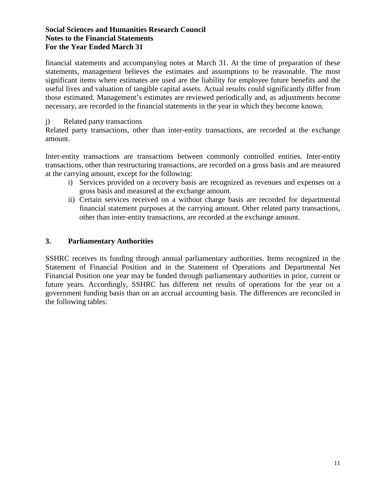financial statements and accompanying notes at March 31. At the time of preparation of these statements, management believes the estimates and assumptions to be reasonable. The most significant items where estimates are used are the liability for employee future benefits and the useful lives and valuation of tangible capital assets. Actual results could significantly differ from those estimated. Management's estimates are reviewed periodically and, as adjustments become necessary, are recorded in the financial statements in the year in which they become known.

#### j) Related party transactions

Related party transactions, other than inter-entity transactions, are recorded at the exchange amount.

Inter-entity transactions are transactions between commonly controlled entities. Inter-entity transactions, other than restructuring transactions, are recorded on a gross basis and are measured at the carrying amount, except for the following:

- i) Services provided on a recovery basis are recognized as revenues and expenses on a gross basis and measured at the exchange amount.
- ii) Certain services received on a without charge basis are recorded for departmental financial statement purposes at the carrying amount. Other related party transactions, other than inter-entity transactions, are recorded at the exchange amount.

# **3. Parliamentary Authorities**

SSHRC receives its funding through annual parliamentary authorities. Items recognized in the Statement of Financial Position and in the Statement of Operations and Departmental Net Financial Position one year may be funded through parliamentary authorities in prior, current or future years. Accordingly, SSHRC has different net results of operations for the year on a government funding basis than on an accrual accounting basis. The differences are reconciled in the following tables: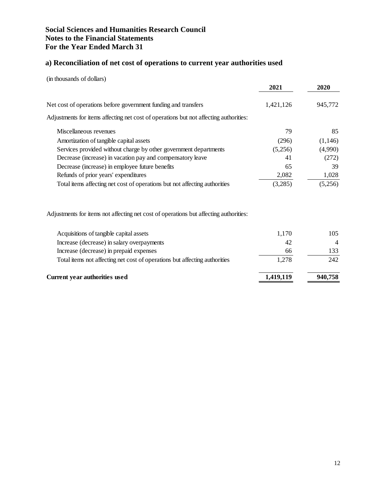# **a) Reconciliation of net cost of operations to current year authorities used**

(in thousands of dollars)

|                                                                                       | 2021      | 2020           |
|---------------------------------------------------------------------------------------|-----------|----------------|
| Net cost of operations before government funding and transfers                        | 1,421,126 | 945,772        |
| Adjustments for items affecting net cost of operations but not affecting authorities: |           |                |
| Miscellaneous revenues                                                                | 79        | 85             |
| Amortization of tangible capital assets                                               | (296)     | (1,146)        |
| Services provided without charge by other government departments                      | (5,256)   | (4,990)        |
| Decrease (increase) in vacation pay and compensatory leave                            | 41        | (272)          |
| Decrease (increase) in employee future benefits                                       | 65        | 39             |
| Refunds of prior years' expenditures                                                  | 2,082     | 1,028          |
| Total items affecting net cost of operations but not affecting authorities            | (3,285)   | (5,256)        |
| Adjustments for items not affecting net cost of operations but affecting authorities: |           |                |
| Acquisitions of tangible capital assets                                               | 1,170     | 105            |
| Increase (decrease) in salary overpayments                                            | 42        | $\overline{4}$ |
| Increase (decrease) in prepaid expenses                                               | 66        | 133            |
| Total items not affecting net cost of operations but affecting authorities            | 1,278     | 242            |
| <b>Current year authorities used</b>                                                  | 1,419,119 | 940,758        |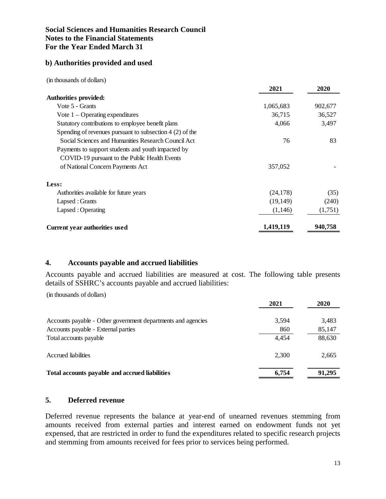#### **b) Authorities provided and used**

(in thousands of dollars)

|                                                           | 2021      | 2020    |
|-----------------------------------------------------------|-----------|---------|
| <b>Authorities provided:</b>                              |           |         |
| Vote 5 - Grants                                           | 1,065,683 | 902,677 |
| Vote $1$ – Operating expenditures                         | 36,715    | 36,527  |
| Statutory contributions to employee benefit plans         | 4,066     | 3,497   |
| Spending of revenues pursuant to subsection $4(2)$ of the |           |         |
| Social Sciences and Humanities Research Council Act       | 76        | 83      |
| Payments to support students and youth impacted by        |           |         |
| COVID-19 pursuant to the Public Health Events             |           |         |
| of National Concern Payments Act                          | 357,052   |         |
| Less:                                                     |           |         |
| Authorities available for future years                    | (24, 178) | (35)    |
| Lapsed: Grants                                            | (19, 149) | (240)   |
| Lapsed: Operating                                         | (1,146)   | (1,751) |
| <b>Current year authorities used</b>                      | 1,419,119 | 940,758 |

#### **4. Accounts payable and accrued liabilities**

Accounts payable and accrued liabilities are measured at cost. The following table presents details of SSHRC's accounts payable and accrued liabilities:

(in thousands of dollars)

|                                                              | 2021  | 2020   |
|--------------------------------------------------------------|-------|--------|
| Accounts payable - Other government departments and agencies | 3.594 | 3,483  |
| Accounts payable - External parties                          | 860   | 85,147 |
| Total accounts payable                                       | 4.454 | 88,630 |
| Accrued liabilities                                          | 2.300 | 2,665  |
| Total accounts payable and accrued liabilities               | 6,754 | 91,295 |

# **5. Deferred revenue**

Deferred revenue represents the balance at year-end of unearned revenues stemming from amounts received from external parties and interest earned on endowment funds not yet expensed, that are restricted in order to fund the expenditures related to specific research projects and stemming from amounts received for fees prior to services being performed.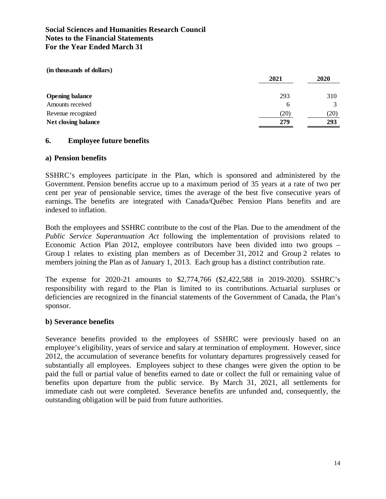**(in thousands of dollars)**

|                            | 2021 | 2020 |
|----------------------------|------|------|
| <b>Opening balance</b>     | 293  | 310  |
| Amounts received           | 6    |      |
| Revenue recognized         | (20) | (20) |
| <b>Net closing balance</b> | 279  | 293  |

## **6. Employee future benefits**

#### **a) Pension benefits**

SSHRC's employees participate in the Plan, which is sponsored and administered by the Government. Pension benefits accrue up to a maximum period of 35 years at a rate of two per cent per year of pensionable service, times the average of the best five consecutive years of earnings. The benefits are integrated with Canada/Québec Pension Plans benefits and are indexed to inflation.

Both the employees and SSHRC contribute to the cost of the Plan. Due to the amendment of the *Public Service Superannuation Act* following the implementation of provisions related to Economic Action Plan 2012, employee contributors have been divided into two groups – Group 1 relates to existing plan members as of December 31, 2012 and Group 2 relates to members joining the Plan as of January 1, 2013. Each group has a distinct contribution rate.

The expense for 2020-21 amounts to \$2,774,766 (\$2,422,588 in 2019-2020). SSHRC's responsibility with regard to the Plan is limited to its contributions. Actuarial surpluses or deficiencies are recognized in the financial statements of the Government of Canada, the Plan's sponsor.

#### **b) Severance benefits**

Severance benefits provided to the employees of SSHRC were previously based on an employee's eligibility, years of service and salary at termination of employment. However, since 2012, the accumulation of severance benefits for voluntary departures progressively ceased for substantially all employees. Employees subject to these changes were given the option to be paid the full or partial value of benefits earned to date or collect the full or remaining value of benefits upon departure from the public service. By March 31, 2021, all settlements for immediate cash out were completed. Severance benefits are unfunded and, consequently, the outstanding obligation will be paid from future authorities.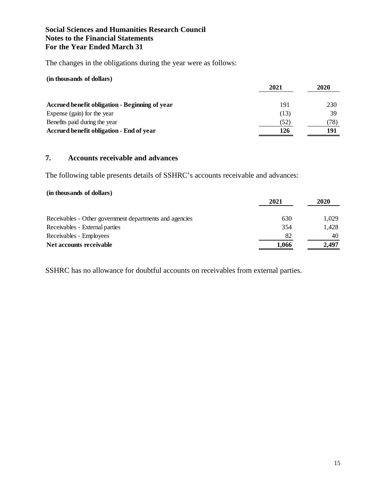The changes in the obligations during the year were as follows:

#### **(in thousands of dollars)**

|                                                | 2021 | 2020 |  |
|------------------------------------------------|------|------|--|
| Accrued benefit obligation - Beginning of year | 191  | 230  |  |
| Expense (gain) for the year                    | (13) | 39   |  |
| Benefits paid during the year                  | (52) | 78)  |  |
| Accrued benefit obligation - End of year       | 126  | 191  |  |

# **7. Accounts receivable and advances**

The following table presents details of SSHRC's accounts receivable and advances:

## **(in thousands of dollars)**

|                                                         | 2021  | 2020  |  |
|---------------------------------------------------------|-------|-------|--|
| Receivables - Other government departments and agencies | 630   | 1.029 |  |
| Receivables - External parties                          | 354   | 1.428 |  |
| Receivables - Employees                                 | 82    | 40    |  |
| Net accounts receivable                                 | 1.066 | 2.497 |  |

SSHRC has no allowance for doubtful accounts on receivables from external parties.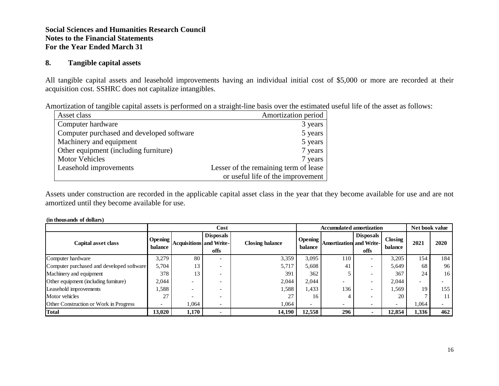#### **8. Tangible capital assets**

All tangible capital assets and leasehold improvements having an individual initial cost of \$5,000 or more are recorded at their acquisition cost. SSHRC does not capitalize intangibles.

| Amortization of tangible capital assets is performed on a straight-line basis over the estimated useful life of the asset as follows: |  |  |  |  |  |  |  |  |
|---------------------------------------------------------------------------------------------------------------------------------------|--|--|--|--|--|--|--|--|
|                                                                                                                                       |  |  |  |  |  |  |  |  |

| Asset class                               | Amortization period                   |
|-------------------------------------------|---------------------------------------|
| Computer hardware                         | 3 years                               |
| Computer purchased and developed software | 5 years                               |
| Machinery and equipment                   | 5 years                               |
| Other equipment (including furniture)     | 7 years                               |
| <b>Motor Vehicles</b>                     | 7 years                               |
| Leasehold improvements                    | Lesser of the remaining term of lease |
|                                           | or useful life of the improvement     |

Assets under construction are recorded in the applicable capital asset class in the year that they become available for use and are not amortized until they become available for use.

#### **(in thousands of dollars)**

|                                           | Cost               |                                |                          |                        | <b>Accumulated amortization</b> |                                |                          |                          | Net book value |                 |
|-------------------------------------------|--------------------|--------------------------------|--------------------------|------------------------|---------------------------------|--------------------------------|--------------------------|--------------------------|----------------|-----------------|
| Capital asset class                       | Opening<br>balance | <b>Acquisitions</b> and Write- | <b>Disposals</b><br>offs | <b>Closing balance</b> | <b>Opening</b><br>balance       | <b>Amortization and Write-</b> | <b>Disposals</b><br>offs | Closing<br>balance       | 2021           | 2020            |
| Computer hardware                         | 3,279              | 80                             | $\overline{\phantom{0}}$ | 3,359                  | 3,095                           | 110                            |                          | 3,205                    | 154            | 184 l           |
| Computer purchased and developed software | 5.704              | 13                             | $\overline{\phantom{0}}$ | 5,717                  | 5,608                           | 41                             |                          | 5,649                    | 68             | 96 <sup>1</sup> |
| Machinery and equipment                   | 378                | 13                             | $\overline{\phantom{0}}$ | 391                    | 362                             |                                |                          | 367                      | 24             | 16 <sup>1</sup> |
| Other equipment (including furniture)     | 2,044              |                                |                          | 2,044                  | 2,044                           |                                |                          | 2,044                    |                |                 |
| Leasehold improvements                    | .588               |                                |                          | 1,588                  | 1,433                           | 136                            |                          | 1,569                    | 19             | 155             |
| Motor vehicles                            | 27                 |                                |                          | 27                     | 16                              |                                |                          | 20                       |                | 11 <sub>1</sub> |
| Other Construction or Work in Progress    |                    | 1,064                          | $\overline{\phantom{a}}$ | 1,064                  |                                 |                                | $\overline{\phantom{0}}$ | $\overline{\phantom{a}}$ | 1,064          |                 |
| <b>Total</b>                              | 13,020             | 1,170                          | $\overline{\phantom{0}}$ | 14,190                 | 12,558                          | 296                            |                          | 12,854                   | 1,336          | 462             |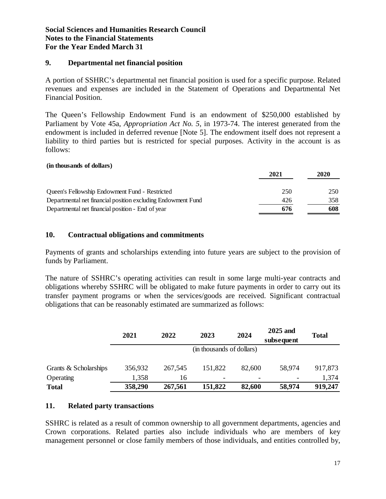#### **9. Departmental net financial position**

A portion of SSHRC's departmental net financial position is used for a specific purpose. Related revenues and expenses are included in the Statement of Operations and Departmental Net Financial Position.

The Queen's Fellowship Endowment Fund is an endowment of \$250,000 established by Parliament by Vote 45a, *Appropriation Act No. 5*, in 1973-74. The interest generated from the endowment is included in deferred revenue [Note 5]. The endowment itself does not represent a liability to third parties but is restricted for special purposes. Activity in the account is as follows:

#### **(in thousands of dollars)**

|                                                              | 2021 | 2020 |
|--------------------------------------------------------------|------|------|
|                                                              |      |      |
| Queen's Fellowship Endowment Fund - Restricted               | 250  | 250  |
| Departmental net financial position excluding Endowment Fund | 426  | 358  |
| Departmental net financial position - End of year            | 676  | 608  |

## **10. Contractual obligations and commitments**

Payments of grants and scholarships extending into future years are subject to the provision of funds by Parliament.

The nature of SSHRC's operating activities can result in some large multi-year contracts and obligations whereby SSHRC will be obligated to make future payments in order to carry out its transfer payment programs or when the services/goods are received. Significant contractual obligations that can be reasonably estimated are summarized as follows:

|                       | 2021                      | 2022    | 2023                     | 2024   | 2025 and<br>subsequent   | <b>Total</b> |  |
|-----------------------|---------------------------|---------|--------------------------|--------|--------------------------|--------------|--|
|                       | (in thousands of dollars) |         |                          |        |                          |              |  |
| Grants & Scholarships | 356,932                   | 267,545 | 151,822                  | 82,600 | 58,974                   | 917,873      |  |
| Operating             | 1,358                     | 16      | $\overline{\phantom{a}}$ |        | $\overline{\phantom{a}}$ | 1,374        |  |
| <b>Total</b>          | 358,290                   | 267,561 | 151,822                  | 82,600 | 58,974                   | 919,247      |  |

# **11. Related party transactions**

SSHRC is related as a result of common ownership to all government departments, agencies and Crown corporations. Related parties also include individuals who are members of key management personnel or close family members of those individuals, and entities controlled by,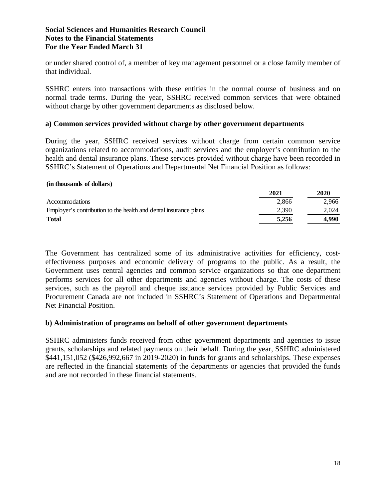or under shared control of, a member of key management personnel or a close family member of that individual.

SSHRC enters into transactions with these entities in the normal course of business and on normal trade terms. During the year, SSHRC received common services that were obtained without charge by other government departments as disclosed below.

#### **a) Common services provided without charge by other government departments**

During the year, SSHRC received services without charge from certain common service organizations related to accommodations, audit services and the employer's contribution to the health and dental insurance plans. These services provided without charge have been recorded in SSHRC's Statement of Operations and Departmental Net Financial Position as follows:

#### **(in thousands of dollars)**

|                                                                  | 2021  | 2020  |
|------------------------------------------------------------------|-------|-------|
| <b>Accommodations</b>                                            | 2.866 | 2.966 |
| Employer's contribution to the health and dental insurance plans | 2.390 | 2.024 |
| <b>Total</b>                                                     | 5.256 | 4.990 |

The Government has centralized some of its administrative activities for efficiency, costeffectiveness purposes and economic delivery of programs to the public. As a result, the Government uses central agencies and common service organizations so that one department performs services for all other departments and agencies without charge. The costs of these services, such as the payroll and cheque issuance services provided by Public Services and Procurement Canada are not included in SSHRC's Statement of Operations and Departmental Net Financial Position.

#### **b) Administration of programs on behalf of other government departments**

SSHRC administers funds received from other government departments and agencies to issue grants, scholarships and related payments on their behalf. During the year, SSHRC administered \$441,151,052 (\$426,992,667 in 2019-2020) in funds for grants and scholarships. These expenses are reflected in the financial statements of the departments or agencies that provided the funds and are not recorded in these financial statements.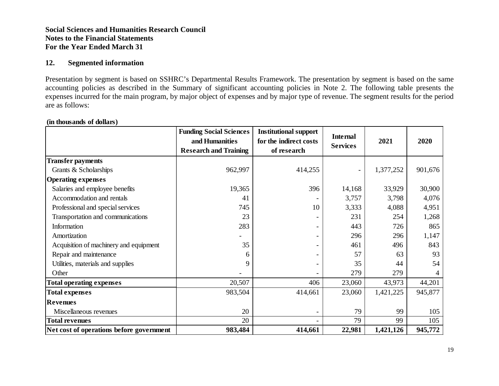#### **12. Segmented information**

Presentation by segment is based on SSHRC's Departmental Results Framework. The presentation by segment is based on the same accounting policies as described in the Summary of significant accounting policies in Note 2. The following table presents the expenses incurred for the main program, by major object of expenses and by major type of revenue. The segment results for the period are as follows:

|                                          | <b>Funding Social Sciences</b> | <b>Institutional support</b> |                 | 2021      | 2020    |  |
|------------------------------------------|--------------------------------|------------------------------|-----------------|-----------|---------|--|
|                                          | and Humanities                 | for the indirect costs       | <b>Internal</b> |           |         |  |
|                                          | <b>Research and Training</b>   | of research                  | <b>Services</b> |           |         |  |
| <b>Transfer payments</b>                 |                                |                              |                 |           |         |  |
| Grants & Scholarships                    | 962,997                        | 414,255                      |                 | 1,377,252 | 901,676 |  |
| <b>Operating expenses</b>                |                                |                              |                 |           |         |  |
| Salaries and employee benefits           | 19,365                         | 396                          | 14,168          | 33,929    | 30,900  |  |
| Accommodation and rentals                | 41                             |                              | 3,757           | 3,798     | 4,076   |  |
| Professional and special services        | 745                            | 10                           | 3,333           | 4,088     | 4,951   |  |
| Transportation and communications        | 23                             |                              | 231             | 254       | 1,268   |  |
| Information                              | 283                            |                              | 443             | 726       | 865     |  |
| Amortization                             |                                |                              | 296             | 296       | 1,147   |  |
| Acquisition of machinery and equipment   | 35                             |                              | 461             | 496       | 843     |  |
| Repair and maintenance                   | 6                              |                              | 57              | 63        | 93      |  |
| Utilities, materials and supplies        | 9                              |                              | 35              | 44        | 54      |  |
| Other                                    |                                |                              | 279             | 279       |         |  |
| <b>Total operating expenses</b>          | 20,507                         | 406                          | 23,060          | 43,973    | 44,201  |  |
| <b>Total expenses</b>                    | 983,504                        | 414,661                      | 23,060          | 1,421,225 | 945,877 |  |
| <b>Revenues</b>                          |                                |                              |                 |           |         |  |
| Miscellaneous revenues                   | 20                             |                              | 79              | 99        | 105     |  |
| <b>Total revenues</b>                    | 20                             |                              | 79              | 99        | 105     |  |
| Net cost of operations before government | 983,484                        | 414,661                      | 22,981          | 1,421,126 | 945,772 |  |

#### **(in thousands of dollars)**